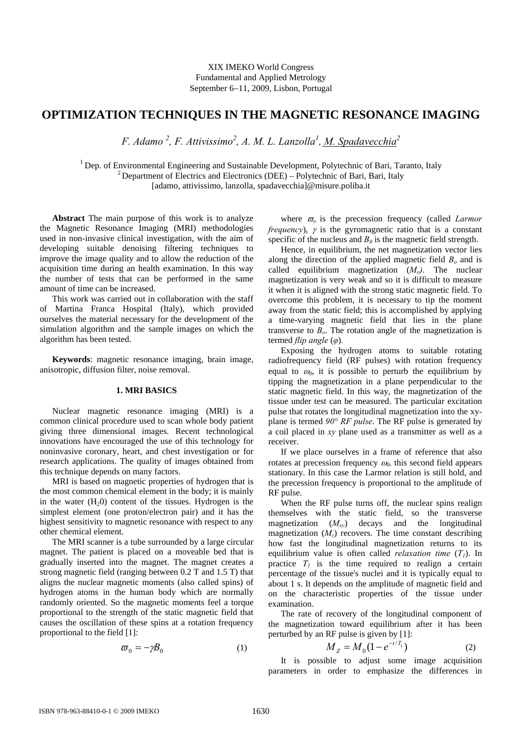XIX IMEKO World Congress Fundamental and Applied Metrology September 6−11, 2009, Lisbon, Portugal

# **OPTIMIZATION TECHNIQUES IN THE MAGNETIC RESONANCE IMAGING**

*F. Adamo 2 , F. Attivissimo<sup>2</sup> , A. M. L. Lanzolla1 , M. Spadavecchia2*

<sup>1</sup> Dep. of Environmental Engineering and Sustainable Development, Polytechnic of Bari, Taranto, Italy <sup>2</sup> Department of Electrics and Electronics (DEE) – Polytechnic of Bari, Bari, Italy [adamo, attivissimo, lanzolla, spadavecchia]@misure.poliba.it

**Abstract** The main purpose of this work is to analyze the Magnetic Resonance Imaging (MRI) methodologies used in non-invasive clinical investigation, with the aim of developing suitable denoising filtering techniques to improve the image quality and to allow the reduction of the acquisition time during an health examination. In this way the number of tests that can be performed in the same amount of time can be increased.

This work was carried out in collaboration with the staff of Martina Franca Hospital (Italy), which provided ourselves the material necessary for the development of the simulation algorithm and the sample images on which the algorithm has been tested.

**Keywords**: magnetic resonance imaging, brain image, anisotropic, diffusion filter, noise removal.

### **1. MRI BASICS**

Nuclear magnetic resonance imaging (MRI) is a common clinical procedure used to scan whole body patient giving three dimensional images. Recent technological innovations have encouraged the use of this technology for noninvasive coronary, heart, and chest investigation or for research applications. The quality of images obtained from this technique depends on many factors.

MRI is based on magnetic properties of hydrogen that is the most common chemical element in the body; it is mainly in the water  $(H<sub>2</sub>0)$  content of the tissues. Hydrogen is the simplest element (one proton/electron pair) and it has the highest sensitivity to magnetic resonance with respect to any other chemical element.

The MRI scanner is a tube surrounded by a large circular magnet. The patient is placed on a moveable bed that is gradually inserted into the magnet. The magnet creates a strong magnetic field (ranging between 0.2 T and 1.5 T) that aligns the nuclear magnetic moments (also called spins) of hydrogen atoms in the human body which are normally randomly oriented. So the magnetic moments feel a torque proportional to the strength of the static magnetic field that causes the oscillation of these spins at a rotation frequency proportional to the field [1]:

$$
\varpi_0 = -\gamma B_0 \tag{1}
$$

where  $\bar{\omega}_o$  is the precession frequency (called *Larmor frequency*),  $\gamma$  is the gyromagnetic ratio that is a constant specific of the nucleus and  $B_0$  is the magnetic field strength.

Hence, in equilibrium, the net magnetization vector lies along the direction of the applied magnetic field  $B<sub>o</sub>$  and is called equilibrium magnetization  $(M<sub>o</sub>)$ . The nuclear magnetization is very weak and so it is difficult to measure it when it is aligned with the strong static magnetic field. To overcome this problem, it is necessary to tip the moment away from the static field; this is accomplished by applying a time-varying magnetic field that lies in the plane transverse to  $B<sub>o</sub>$ . The rotation angle of the magnetization is termed *flip angle* (*φ*)*.* 

Exposing the hydrogen atoms to suitable rotating radiofrequency field (RF pulses) with rotation frequency equal to  $\omega_0$ , it is possible to perturb the equilibrium by tipping the magnetization in a plane perpendicular to the static magnetic field. In this way, the magnetization of the tissue under test can be measured. The particular excitation pulse that rotates the longitudinal magnetization into the xyplane is termed *90° RF pulse*. The RF pulse is generated by a coil placed in *xy* plane used as a transmitter as well as a receiver.

If we place ourselves in a frame of reference that also rotates at precession frequency ω*0,* this second field appears stationary. In this case the Larmor relation is still hold, and the precession frequency is proportional to the amplitude of RF pulse.

When the RF pulse turns off, the nuclear spins realign themselves with the static field, so the transverse magnetization  $(M_{xy})$  decays and the longitudinal magnetization  $(M<sub>z</sub>)$  recovers. The time constant describing how fast the longitudinal magnetization returns to its equilibrium value is often called *relaxation time*  $(T<sub>1</sub>)$ . In practice  $T_1$  is the time required to realign a certain percentage of the tissue's nuclei and it is typically equal to about 1 s. It depends on the amplitude of magnetic field and on the characteristic properties of the tissue under examination.

The rate of recovery of the longitudinal component of the magnetization toward equilibrium after it has been perturbed by an RF pulse is given by [1]:

$$
M_Z = M_0 (1 - e^{-t/T_1})
$$
 (2)

It is possible to adjust some image acquisition parameters in order to emphasize the differences in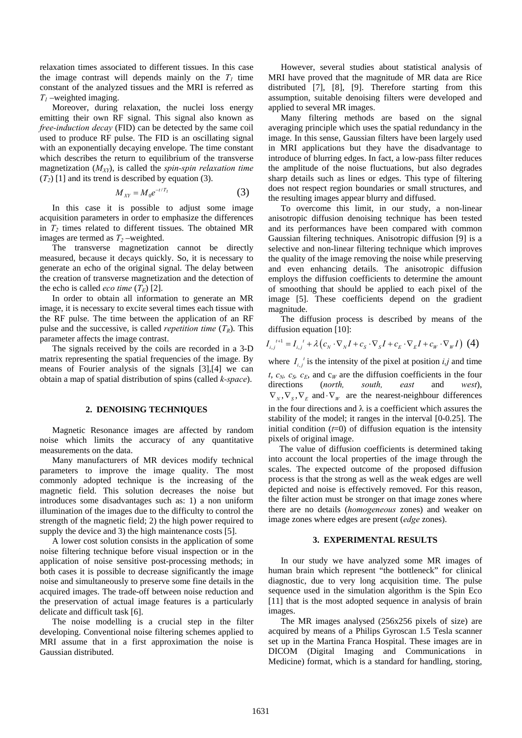relaxation times associated to different tissues. In this case the image contrast will depends mainly on the  $T<sub>1</sub>$  time constant of the analyzed tissues and the MRI is referred as *T1* –weighted imaging.

Moreover, during relaxation, the nuclei loss energy emitting their own RF signal. This signal also known as *free-induction decay* (FID) can be detected by the same coil used to produce RF pulse. The FID is an oscillating signal with an exponentially decaying envelope. The time constant which describes the return to equilibrium of the transverse magnetization (*MXY*), is called the *spin-spin relaxation time*  $(T_2)$  [1] and its trend is described by equation (3).

$$
M_{XY} = M_0 e^{-t/T_2}
$$
 (3)

In this case it is possible to adjust some image acquisition parameters in order to emphasize the differences in  $T_2$  times related to different tissues. The obtained MR images are termed as  $T_2$ -weighted.

The transverse magnetization cannot be directly measured, because it decays quickly. So, it is necessary to generate an echo of the original signal. The delay between the creation of transverse magnetization and the detection of the echo is called *eco time*  $(T_E)$  [2].

In order to obtain all information to generate an MR image, it is necessary to excite several times each tissue with the RF pulse. The time between the application of an RF pulse and the successive, is called *repetition time*  $(T_R)$ . This parameter affects the image contrast.

The signals received by the coils are recorded in a 3-D matrix representing the spatial frequencies of the image. By means of Fourier analysis of the signals [3],[4] we can obtain a map of spatial distribution of spins (called *k-space*).

#### **2. DENOISING TECHNIQUES**

Magnetic Resonance images are affected by random noise which limits the accuracy of any quantitative measurements on the data.

Many manufacturers of MR devices modify technical parameters to improve the image quality. The most commonly adopted technique is the increasing of the magnetic field. This solution decreases the noise but introduces some disadvantages such as: 1) a non uniform illumination of the images due to the difficulty to control the strength of the magnetic field; 2) the high power required to supply the device and 3) the high maintenance costs [5].

A lower cost solution consists in the application of some noise filtering technique before visual inspection or in the application of noise sensitive post-processing methods; in both cases it is possible to decrease significantly the image noise and simultaneously to preserve some fine details in the acquired images. The trade-off between noise reduction and the preservation of actual image features is a particularly delicate and difficult task [6].

The noise modelling is a crucial step in the filter developing. Conventional noise filtering schemes applied to MRI assume that in a first approximation the noise is Gaussian distributed.

However, several studies about statistical analysis of MRI have proved that the magnitude of MR data are Rice distributed [7], [8], [9]. Therefore starting from this assumption, suitable denoising filters were developed and applied to several MR images.

Many filtering methods are based on the signal averaging principle which uses the spatial redundancy in the image. In this sense, Gaussian filters have been largely used in MRI applications but they have the disadvantage to introduce of blurring edges. In fact, a low-pass filter reduces the amplitude of the noise fluctuations, but also degrades sharp details such as lines or edges. This type of filtering does not respect region boundaries or small structures, and the resulting images appear blurry and diffused.

To overcome this limit, in our study, a non-linear anisotropic diffusion denoising technique has been tested and its performances have been compared with common Gaussian filtering techniques. Anisotropic diffusion [9] is a selective and non-linear filtering technique which improves the quality of the image removing the noise while preserving and even enhancing details. The anisotropic diffusion employs the diffusion coefficients to determine the amount of smoothing that should be applied to each pixel of the image [5]. These coefficients depend on the gradient magnitude.

The diffusion process is described by means of the diffusion equation [10]:

$$
I_{i,j}^{t+1} = I_{i,j}^{t} + \lambda (c_N \cdot \nabla_N I + c_S \cdot \nabla_S I + c_E \cdot \nabla_E I + c_W \cdot \nabla_W I) \tag{4}
$$

where  $I_{i,j}$ <sup>t</sup> is the intensity of the pixel at position  $i, j$  and time *t*,  $c_N$ ,  $c_S$ ,  $c_E$ , and  $c_W$  are the diffusion coefficients in the four directions (*north, south, east* and *west*),  $\nabla_N$ ,  $\nabla_S$ ,  $\nabla_E$  and  $\nabla_W$  are the nearest-neighbour differences in the four directions and  $\lambda$  is a coefficient which assures the stability of the model; it ranges in the interval [0-0.25]. The initial condition  $(t=0)$  of diffusion equation is the intensity pixels of original image.

The value of diffusion coefficients is determined taking into account the local properties of the image through the scales. The expected outcome of the proposed diffusion process is that the strong as well as the weak edges are well depicted and noise is effectively removed. For this reason, the filter action must be stronger on that image zones where there are no details (*homogeneous* zones) and weaker on image zones where edges are present (*edge* zones).

#### **3. EXPERIMENTAL RESULTS**

In our study we have analyzed some MR images of human brain which represent "the bottleneck" for clinical diagnostic, due to very long acquisition time. The pulse sequence used in the simulation algorithm is the Spin Eco [11] that is the most adopted sequence in analysis of brain images.

The MR images analysed (256x256 pixels of size) are acquired by means of a Philips Gyroscan 1.5 Tesla scanner set up in the Martina Franca Hospital. These images are in DICOM (Digital Imaging and Communications in Medicine) format, which is a standard for handling, storing,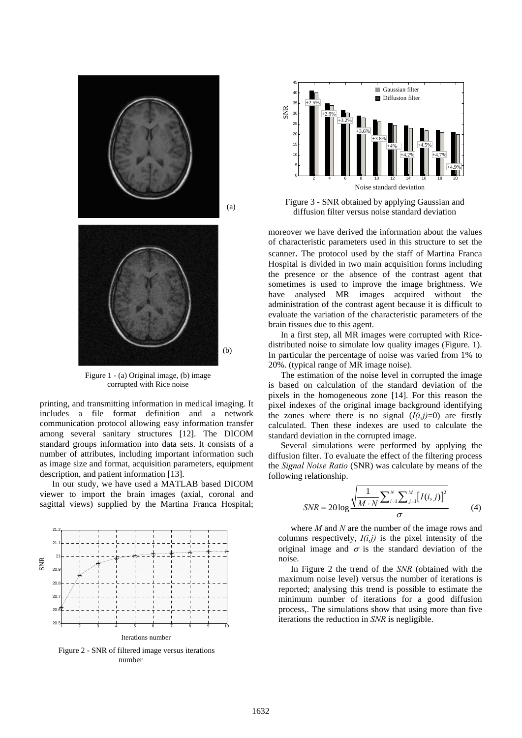

Figure 1 - (a) Original image, (b) image corrupted with Rice noise

printing, and transmitting information in medical imaging. It includes a file format definition and a network communication protocol allowing easy information transfer among several sanitary structures [12]. The DICOM standard groups information into data sets. It consists of a number of attributes, including important information such as image size and format, acquisition parameters, equipment description, and patient information [13].

In our study, we have used a MATLAB based DICOM viewer to import the brain images (axial, coronal and sagittal views) supplied by the Martina Franca Hospital;



Figure 2 - SNR of filtered image versus iterations number



Figure 3 - SNR obtained by applying Gaussian and diffusion filter versus noise standard deviation

moreover we have derived the information about the values of characteristic parameters used in this structure to set the scanner. The protocol used by the staff of Martina Franca Hospital is divided in two main acquisition forms including the presence or the absence of the contrast agent that sometimes is used to improve the image brightness. We have analysed MR images acquired without the administration of the contrast agent because it is difficult to evaluate the variation of the characteristic parameters of the brain tissues due to this agent.

In a first step, all MR images were corrupted with Ricedistributed noise to simulate low quality images (Figure. 1). In particular the percentage of noise was varied from 1% to 20%. (typical range of MR image noise).

The estimation of the noise level in corrupted the image is based on calculation of the standard deviation of the pixels in the homogeneous zone [14]. For this reason the pixel indexes of the original image background identifying the zones where there is no signal  $(I(i,j)=0)$  are firstly calculated. Then these indexes are used to calculate the standard deviation in the corrupted image.

Several simulations were performed by applying the diffusion filter. To evaluate the effect of the filtering process the *Signal Noise Ratio* (SNR) was calculate by means of the following relationship.

$$
SNR = 20 \log \frac{\sqrt{\frac{1}{M \cdot N} \sum_{i=1}^{N} \sum_{j=1}^{M} [I(i, j)]^{2}}}{\sigma}
$$
(4)

where *M* and *N* are the number of the image rows and columns respectively, *I(i,j)* is the pixel intensity of the original image and  $\sigma$  is the standard deviation of the noise.

In Figure 2 the trend of the *SNR* (obtained with the maximum noise level) versus the number of iterations is reported; analysing this trend is possible to estimate the minimum number of iterations for a good diffusion process,. The simulations show that using more than five iterations the reduction in *SNR* is negligible.